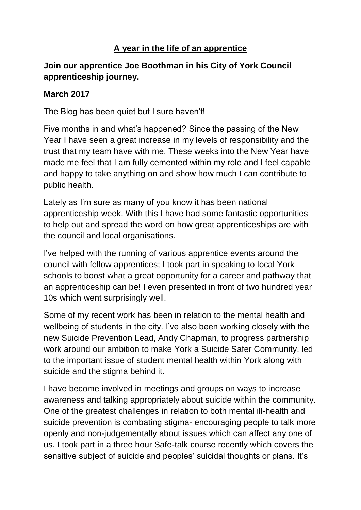## **A year in the life of an apprentice**

## **Join our apprentice Joe Boothman in his City of York Council apprenticeship journey.**

## **March 2017**

The Blog has been quiet but I sure haven't!

Five months in and what's happened? Since the passing of the New Year I have seen a great increase in my levels of responsibility and the trust that my team have with me. These weeks into the New Year have made me feel that I am fully cemented within my role and I feel capable and happy to take anything on and show how much I can contribute to public health.

Lately as I'm sure as many of you know it has been national apprenticeship week. With this I have had some fantastic opportunities to help out and spread the word on how great apprenticeships are with the council and local organisations.

I've helped with the running of various apprentice events around the council with fellow apprentices; I took part in speaking to local York schools to boost what a great opportunity for a career and pathway that an apprenticeship can be! I even presented in front of two hundred year 10s which went surprisingly well.

Some of my recent work has been in relation to the mental health and wellbeing of students in the city. I've also been working closely with the new Suicide Prevention Lead, Andy Chapman, to progress partnership work around our ambition to make York a Suicide Safer Community, led to the important issue of student mental health within York along with suicide and the stigma behind it.

I have become involved in meetings and groups on ways to increase awareness and talking appropriately about suicide within the community. One of the greatest challenges in relation to both mental ill-health and suicide prevention is combating stigma- encouraging people to talk more openly and non-judgementally about issues which can affect any one of us. I took part in a three hour Safe-talk course recently which covers the sensitive subject of suicide and peoples' suicidal thoughts or plans. It's